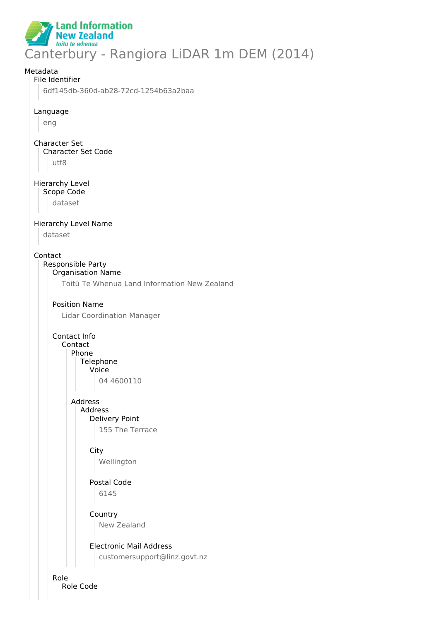

# Metadata File Identifier 6df145db-360d-ab28-72cd-1254b63a2baa Language eng Character Set Character Set Code utf8 Hierarchy Level Scope Code dataset Hierarchy Level Name dataset Contact Responsible Party Organisation Name Toitū Te Whenua Land Information New Zealand Position Name Lidar Coordination Manager Contact Info Contact Phone **Telephone** Voice 04 4600110 Address Address Delivery Point 155 The Terrace **City** Wellington Postal Code 6145 **Country** New Zealand Electronic Mail Address customersupport@linz.govt.nz Role

Role Code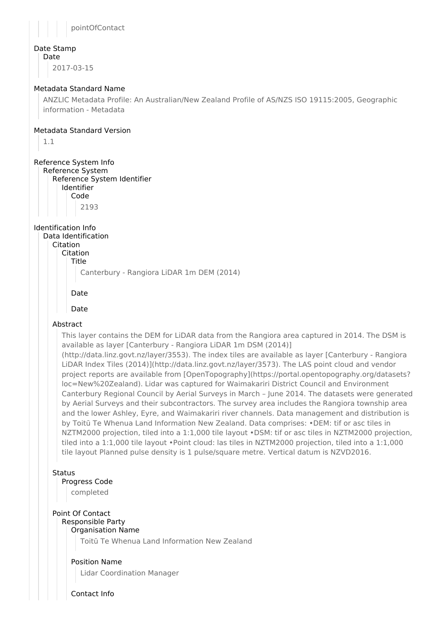

# Date Stamp

Date

2017-03-15

# Metadata Standard Name

ANZLIC Metadata Profile: An Australian/New Zealand Profile of AS/NZS ISO 19115:2005, Geographic information - Metadata

# Metadata Standard Version

1.1

# Reference System Info

Reference System Reference System Identifier Identifier Code

2193

# Identification Info

Data Identification Citation

Citation Title

Canterbury - Rangiora LiDAR 1m DEM (2014)

# Date

Date

# Abstract

This layer contains the DEM for LiDAR data from the Rangiora area captured in 2014. The DSM is available as layer [Canterbury - Rangiora LiDAR 1m DSM (2014)]

(http://data.linz.govt.nz/layer/3553). The index tiles are available as layer [Canterbury - Rangiora LiDAR Index Tiles (2014)](http://data.linz.govt.nz/layer/3573). The LAS point cloud and vendor project reports are available from [OpenTopography](https://portal.opentopography.org/datasets? loc=New%20Zealand). Lidar was captured for Waimakariri District Council and Environment Canterbury Regional Council by Aerial Surveys in March – June 2014. The datasets were generated by Aerial Surveys and their subcontractors. The survey area includes the Rangiora township area and the lower Ashley, Eyre, and Waimakariri river channels. Data management and distribution is by Toitū Te Whenua Land Information New Zealand. Data comprises: •DEM: tif or asc tiles in NZTM2000 projection, tiled into a 1:1,000 tile layout •DSM: tif or asc tiles in NZTM2000 projection, tiled into a 1:1,000 tile layout •Point cloud: las tiles in NZTM2000 projection, tiled into a 1:1,000 tile layout Planned pulse density is 1 pulse/square metre. Vertical datum is NZVD2016.

# **Status**

# Progress Code

completed

# Point Of Contact

#### Responsible Party Organisation Name

Toitū Te Whenua Land Information New Zealand

# Position Name

Lidar Coordination Manager

Contact Info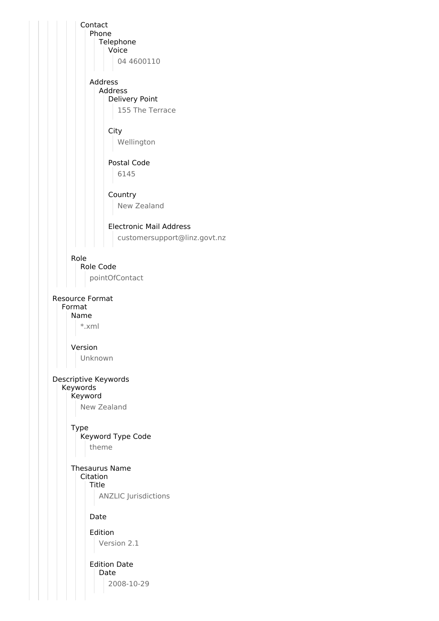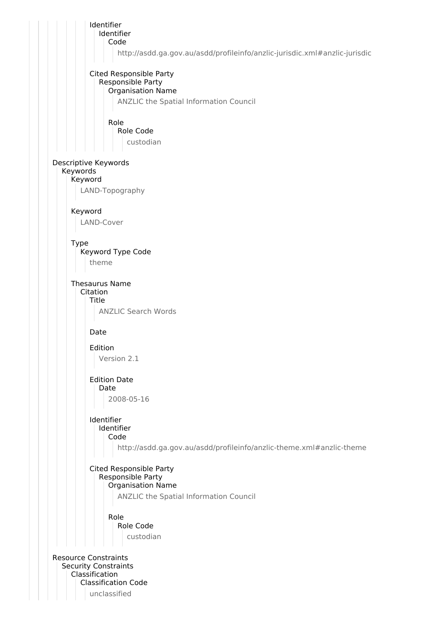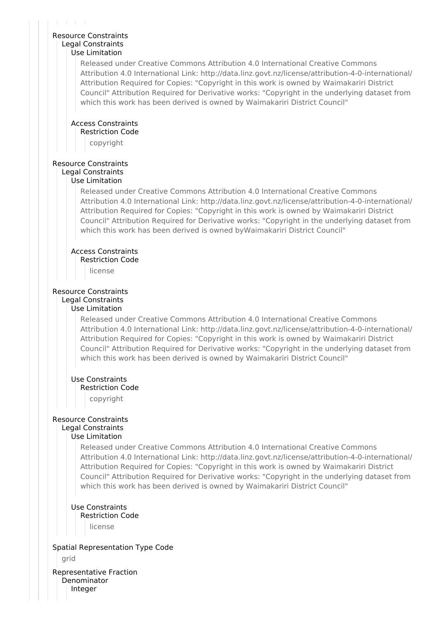#### Resource Constraints Legal Constraints Use Limitation

Released under Creative Commons Attribution 4.0 International Creative Commons Attribution 4.0 International Link: http://data.linz.govt.nz/license/attribution-4-0-international/ Attribution Required for Copies: "Copyright in this work is owned by Waimakariri District Council" Attribution Required for Derivative works: "Copyright in the underlying dataset from which this work has been derived is owned by Waimakariri District Council"

#### Access Constraints Restriction Code

copyright

# Resource Constraints

# Legal Constraints

### Use Limitation

Released under Creative Commons Attribution 4.0 International Creative Commons Attribution 4.0 International Link: http://data.linz.govt.nz/license/attribution-4-0-international/ Attribution Required for Copies: "Copyright in this work is owned by Waimakariri District Council" Attribution Required for Derivative works: "Copyright in the underlying dataset from which this work has been derived is owned byWaimakariri District Council"

### Access Constraints

Restriction Code

license

### Resource Constraints Legal Constraints

#### Use Limitation

Released under Creative Commons Attribution 4.0 International Creative Commons Attribution 4.0 International Link: http://data.linz.govt.nz/license/attribution-4-0-international/ Attribution Required for Copies: "Copyright in this work is owned by Waimakariri District Council" Attribution Required for Derivative works: "Copyright in the underlying dataset from which this work has been derived is owned by Waimakariri District Council"

### Use Constraints

### Restriction Code

copyright

# Resource Constraints Legal Constraints

### Use Limitation

Released under Creative Commons Attribution 4.0 International Creative Commons Attribution 4.0 International Link: http://data.linz.govt.nz/license/attribution-4-0-international/ Attribution Required for Copies: "Copyright in this work is owned by Waimakariri District Council" Attribution Required for Derivative works: "Copyright in the underlying dataset from which this work has been derived is owned by Waimakariri District Council"

### Use Constraints Restriction Code license

Spatial Representation Type Code grid

Representative Fraction Denominator Integer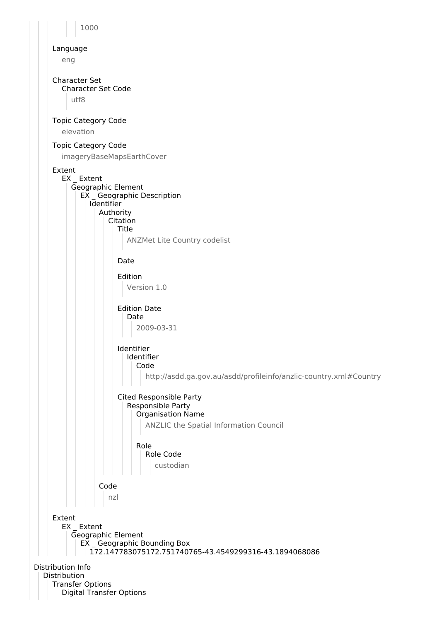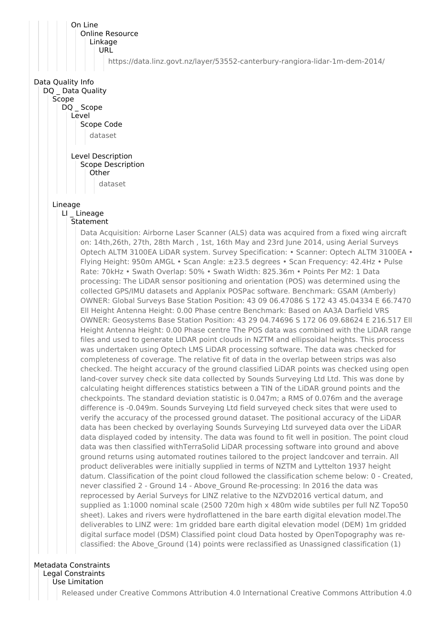

Legal Constraints

Use Limitation

Released under Creative Commons Attribution 4.0 International Creative Commons Attribution 4.0